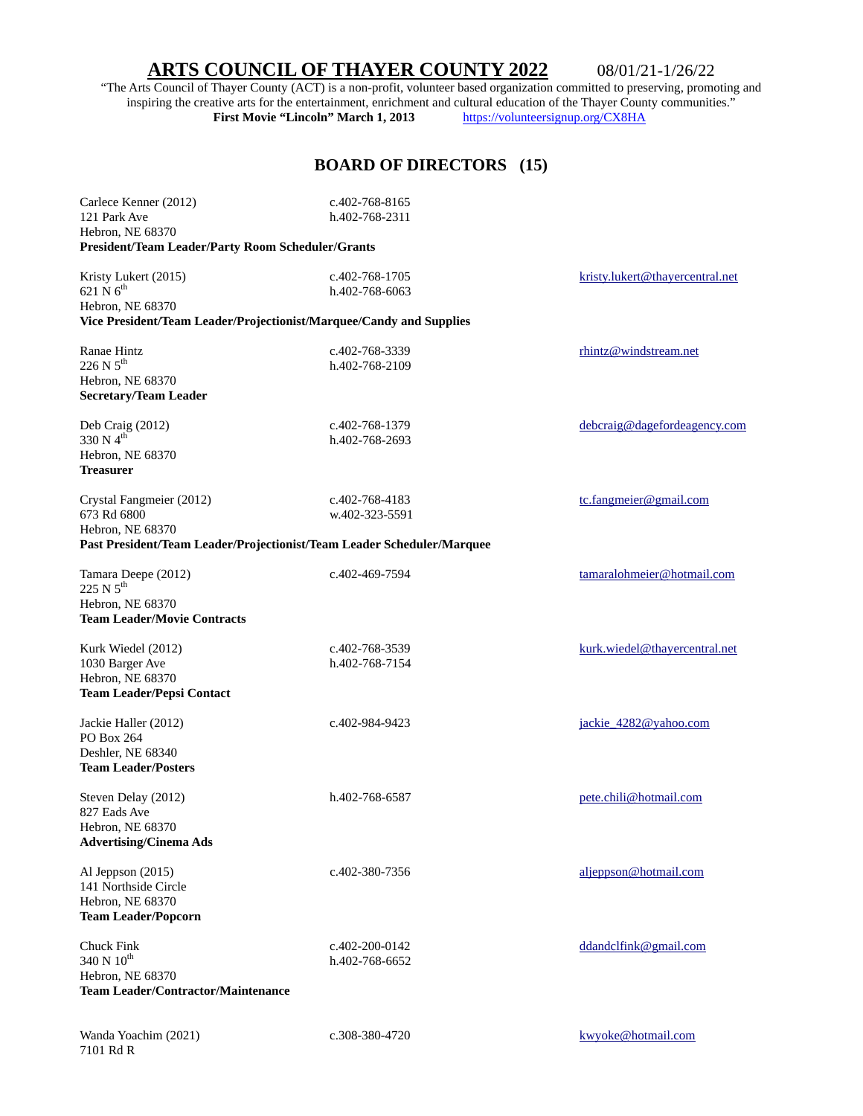## **ARTS COUNCIL OF THAYER COUNTY 2022** 08/01/21-1/26/22

"The Arts Council of Thayer County (ACT) is a non-profit, volunteer based organization committed to preserving, promoting and inspiring the creative arts for the entertainment, enrichment and cultural education of the Thayer County communities."<br>First Movie "Lincoln" March 1, 2013 https://volunteersignup.org/CX8HA **First Movie "Lincoln" March 1, 2013** 

## **BOARD OF DIRECTORS (15)**

| Carlece Kenner (2012)<br>121 Park Ave<br>Hebron, NE 68370<br>President/Team Leader/Party Room Scheduler/Grants                                     | c.402-768-8165<br>h.402-768-2311       |                                 |
|----------------------------------------------------------------------------------------------------------------------------------------------------|----------------------------------------|---------------------------------|
| Kristy Lukert (2015)<br>$621 \text{ N}$ 6 <sup>th</sup><br>Hebron, NE 68370<br>Vice President/Team Leader/Projectionist/Marquee/Candy and Supplies | c.402-768-1705<br>h.402-768-6063       | kristy.lukert@thayercentral.net |
| Ranae Hintz<br>$226 N 5^{th}$<br>Hebron, NE 68370<br><b>Secretary/Team Leader</b>                                                                  | c.402-768-3339<br>h.402-768-2109       | rhintz@windstream.net           |
| Deb Craig (2012)<br>330 N $4^{th}$<br>Hebron, NE 68370<br><b>Treasurer</b>                                                                         | c.402-768-1379<br>h.402-768-2693       | debcraig@dagefordeagency.com    |
| Crystal Fangmeier (2012)<br>673 Rd 6800<br>Hebron, NE 68370<br>Past President/Team Leader/Projectionist/Team Leader Scheduler/Marquee              | c.402-768-4183<br>w.402-323-5591       | tc.fangmeier@gmail.com          |
| Tamara Deepe (2012)<br>225 N 5 <sup>th</sup><br>Hebron, NE 68370<br><b>Team Leader/Movie Contracts</b>                                             | c.402-469-7594                         | tamaralohmeier@hotmail.com      |
| Kurk Wiedel (2012)<br>1030 Barger Ave<br>Hebron, NE 68370<br><b>Team Leader/Pepsi Contact</b>                                                      | c.402-768-3539<br>h.402-768-7154       | kurk.wiedel@thayercentral.net   |
| Jackie Haller (2012)<br>PO Box 264<br>Deshler, NE 68340<br><b>Team Leader/Posters</b>                                                              | c.402-984-9423                         | jackie_4282@yahoo.com           |
| Steven Delay (2012)<br>827 Eads Ave<br>Hebron, NE 68370<br><b>Advertising/Cinema Ads</b>                                                           | h.402-768-6587                         | pete.chili@hotmail.com          |
| Al Jeppson (2015)<br>141 Northside Circle<br>Hebron, NE 68370<br><b>Team Leader/Popcorn</b>                                                        | c.402-380-7356                         | aljeppson@hotmail.com           |
| Chuck Fink<br>340 N 10th<br>Hebron, NE 68370<br><b>Team Leader/Contractor/Maintenance</b>                                                          | $c.402 - 200 - 0142$<br>h.402-768-6652 | ddandclfink@gmail.com           |
| Wanda Yoachim (2021)                                                                                                                               | c.308-380-4720                         | kwyoke@hotmail.com              |

7101 Rd R